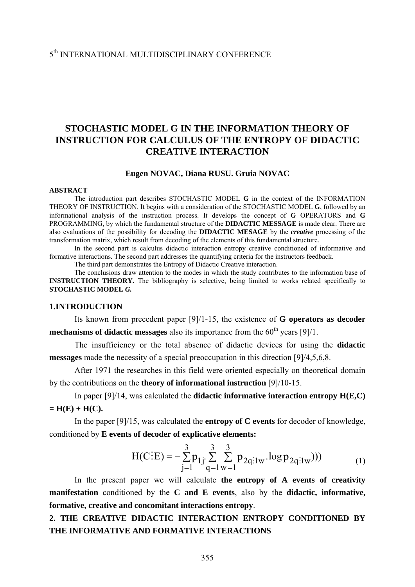# 5th INTERNATIONAL MULTIDISCIPLINARY CONFERENCE

# **STOCHASTIC MODEL G IN THE INFORMATION THEORY OF INSTRUCTION FOR CALCULUS OF THE ENTROPY OF DIDACTIC CREATIVE INTERACTION**

### **Eugen NOVAC, Diana RUSU. Gruia NOVAC**

#### **ABSTRACT**

The introduction part describes STOCHASTIC MODEL **G** in the context of the INFORMATION THEORY OF INSTRUCTION. It begins with a consideration of the STOCHASTIC MODEL **G**, followed by an informational analysis of the instruction process. It develops the concept of **G** OPERATORS and **G** PROGRAMMING, by which the fundamental structure of the **DIDACTIC MESSAGE** is made clear. There are also evaluations of the possibility for decoding the **DIDACTIC MESAGE** by the *creative* processing of the transformation matrix, which result from decoding of the elements of this fundamental structure.

In the second part is calculus didactic interaction entropy creative conditioned of informative and formative interactions. The second part addresses the quantifying criteria for the instructors feedback.

The third part demonstrates the Entropy of Didactic Creative interaction.

The conclusions draw attention to the modes in which the study contributes to the information base of **INSTRUCTION THEORY.** The bibliography is selective, being limited to works related specifically to **STOCHASTIC MODEL** *G.*

### **1.INTRODUCTION**

 Its known from precedent paper [9]/1-15, the existence of **G operators as decoder mechanisms of didactic messages** also its importance from the  $60<sup>th</sup>$  years [9]/1.

 The insufficiency or the total absence of didactic devices for using the **didactic messages** made the necessity of a special preoccupation in this direction [9]/4,5,6,8.

 After 1971 the researches in this field were oriented especially on theoretical domain by the contributions on the **theory of informational instruction** [9]/10-15.

 In paper [9]/14, was calculated the **didactic informative interaction entropy H(E,C)**   $=$  **H**(**E**) + **H**(**C**).

 In the paper [9]/15, was calculated the **entropy of C events** for decoder of knowledge, conditioned by **E events of decoder of explicative elements:**

$$
H(C:E) = -\sum_{j=1}^{3} p_{1j} \sum_{q=1}^{3} \sum_{w=1}^{3} p_{2q:1w} \cdot \log p_{2q:1w})))
$$
 (1)

 In the present paper we will calculate **the entropy of A events of creativity manifestation** conditioned by the **C and E events**, also by the **didactic, informative, formative, creative and concomitant interactions entropy**.

# **2. THE CREATIVE DIDACTIC INTERACTION ENTROPY CONDITIONED BY THE INFORMATIVE AND FORMATIVE INTERACTIONS**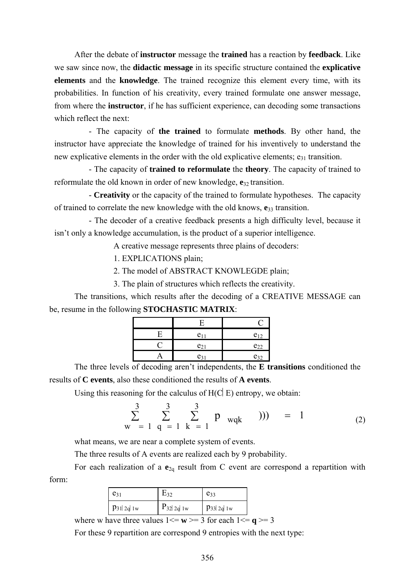After the debate of **instructor** message the **trained** has a reaction by **feedback**. Like we saw since now, the **didactic message** in its specific structure contained the **explicative elements** and the **knowledge**. The trained recognize this element every time, with its probabilities. In function of his creativity, every trained formulate one answer message, from where the **instructor**, if he has sufficient experience, can decoding some transactions which reflect the next:

- The capacity of **the trained** to formulate **methods**. By other hand, the instructor have appreciate the knowledge of trained for his inventively to understand the new explicative elements in the order with the old explicative elements;  $e_{31}$  transition.

- The capacity of **trained to reformulate** the **theory**. The capacity of trained to reformulate the old known in order of new knowledge,  $e_{32}$  transition.

- **Creativity** or the capacity of the trained to formulate hypotheses. The capacity of trained to correlate the new knowledge with the old knows, **e**33 transition.

- The decoder of a creative feedback presents a high difficulty level, because it isn't only a knowledge accumulation, is the product of a superior intelligence.

A creative message represents three plains of decoders:

1. EXPLICATIONS plain;

2. The model of ABSTRACT KNOWLEGDE plain;

3. The plain of structures which reflects the creativity.

 The transitions, which results after the decoding of a CREATIVE MESSAGE can be, resume in the following **STOCHASTIC MATRIX**:

| $e_{11}$ | $e_{12}$ |
|----------|----------|
| $e_{21}$ | $e_{22}$ |
| $e_{31}$ | $e_{32}$ |

 The three levels of decoding aren't independents, the **E transitions** conditioned the results of **C events**, also these conditioned the results of **A events**.

Using this reasoning for the calculus of  $H(C|E)$  entropy, we obtain:

$$
\sum_{w=1}^{3} \sum_{q=1}^{3} \sum_{k=1}^{3} p_{wqk} ) ) = 1
$$
 (2)

what means, we are near a complete system of events.

The three results of A events are realized each by 9 probability.

For each realization of a  $e_{2q}$  result from C event are correspond a repartition with form:

| ا31               | E32            | $e_{33}$       |
|-------------------|----------------|----------------|
| $p_{31}$   2q  1w | $P_{32 2q 1w}$ | $p_{33}$ 2q 1w |
|                   |                |                |

where w have three values  $1 \le w \ge 3$  for each  $1 \le q \ge 3$ 

For these 9 repartition are correspond 9 entropies with the next type: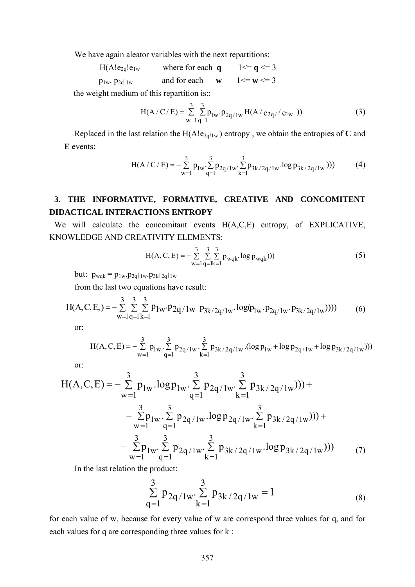We have again aleator variables with the next repartitions:

 $H(A!e_{2q}!e_{1w}$  where for each **q**  $1 \leq q \leq 3$  $p_{1w}$ .  $p_{2d|1w}$  and for each **w**  $1 \le w \le 3$ 

the weight medium of this repartition is::

$$
H(A/C/E) = \sum_{w=1}^{3} \sum_{q=1}^{3} p_{lw} \cdot p_{2q/lw} H(A/e_{2q'}/e_{lw})
$$
 (3)

Replaced in the last relation the  $H(A!e_{2q!1w})$  entropy, we obtain the entropies of **C** and **E** events:

$$
H(A/C/E) = -\sum_{w=1}^{3} p_{1w} \cdot \sum_{q=1}^{3} p_{2q/1w} \cdot \sum_{k=1}^{3} p_{3k/2q/1w} \cdot \log p_{3k/2q/1w})))
$$
(4)

# **3. THE INFORMATIVE, FORMATIVE, CREATIVE AND CONCOMITENT DIDACTICAL INTERACTIONS ENTROPY**

We will calculate the concomitant events H(A,C,E) entropy, of EXPLICATIVE, KNOWLEDGE AND CREATIVITY ELEMENTS:

$$
H(A, C, E) = -\sum_{w=1}^{3} \sum_{q=1}^{3} \sum_{k=1}^{3} p_{wqk} \cdot \log p_{wqk})))
$$
(5)

but:  $p_{wqk} = p_{1w}.p_{2q}|_{1w}.p_{3k}|_{2q}|_{1w}$ 

from the last two equations have result:

$$
H(A, C, E) = -\sum_{w=1}^{3} \sum_{q=1}^{3} \sum_{k=1}^{3} p_{1w} \cdot p_{2q/1w} p_{3k/2q/1w} \cdot \log(p_{1w} \cdot p_{2q/1w} \cdot p_{3k/2q/1w})))
$$
(6)

or:

$$
H(A, C, E) = -\sum_{w=1}^{3} p_{1w} \cdot \sum_{q=1}^{3} p_{2q/1w} \cdot \sum_{k=1}^{3} p_{3k/2q/1w} \cdot (\log p_{1w} + \log p_{2q/1w} + \log p_{3k/2q/1w})))
$$

or:

$$
H(A, C, E) = -\sum_{w=1}^{3} p_{1w} \cdot \log p_{1w} \cdot \sum_{q=1}^{3} p_{2q/1w} \cdot \sum_{k=1}^{3} p_{3k/2q/1w}))) +
$$
  
 
$$
-\sum_{w=1}^{3} p_{1w} \cdot \sum_{q=1}^{3} p_{2q/1w} \cdot \log p_{2q/1w} \cdot \sum_{k=1}^{3} p_{3k/2q/1w}))) +
$$
  
 
$$
-\sum_{w=1}^{3} p_{1w} \cdot \sum_{q=1}^{3} p_{2q/1w} \cdot \sum_{k=1}^{3} p_{3k/2q/1w} \cdot \log p_{3k/2q/1w})))
$$
 (7)

In the last relation the product:

$$
\sum_{q=1}^{3} p_{2q/1w} \cdot \sum_{k=1}^{3} p_{3k/2q/1w} = 1
$$
 (8)

for each value of w, because for every value of w are correspond three values for q, and for each values for q are corresponding three values for k :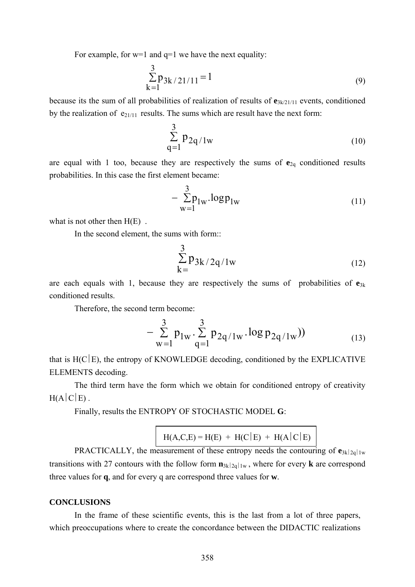For example, for  $w=1$  and  $q=1$  we have the next equality:

$$
\sum_{k=1}^{3} p_{3k/21/11} = 1
$$
 (9)

because its the sum of all probabilities of realization of results of **e**3k/21/11 events, conditioned by the realization of  $e_{21/11}$  results. The sums which are result have the next form:

$$
\sum_{q=1}^{3} p_{2q/1w} \tag{10}
$$

are equal with 1 too, because they are respectively the sums of  $e_{2q}$  conditioned results probabilities. In this case the first element became:

$$
-\sum_{w=1}^{3} p_{1w} \cdot \log p_{1w} \tag{11}
$$

what is not other then  $H(E)$ .

In the second element, the sums with form::

$$
\sum_{k=1}^{3} p_{3k/2q/1w}
$$
 (12)

are each equals with 1, because they are respectively the sums of probabilities of  $e_{3k}$ conditioned results.

Therefore, the second term become:

$$
-\sum_{w=1}^{3} p_{1w} \cdot \sum_{q=1}^{3} p_{2q/1w} \cdot \log p_{2q/1w})
$$
 (13)

that is  $H(C|E)$ , the entropy of KNOWLEDGE decoding, conditioned by the EXPLICATIVE ELEMENTS decoding.

The third term have the form which we obtain for conditioned entropy of creativity  $H(A|C|E)$ .

Finally, results the ENTROPY OF STOCHASTIC MODEL **G**:

 $H(A, C, E) = H(E) + H(C|E) + H(A|C|E)$ 

PRACTICALLY, the measurement of these entropy needs the contouring of  $e_{3k|2q||w}$ transitions with 27 contours with the follow form  $\mathbf{n}_{3k|2q|1w}$ , where for every **k** are correspond three values for **q**, and for every q are correspond three values for **w**.

### **CONCLUSIONS**

 In the frame of these scientific events, this is the last from a lot of three papers, which preoccupations where to create the concordance between the DIDACTIC realizations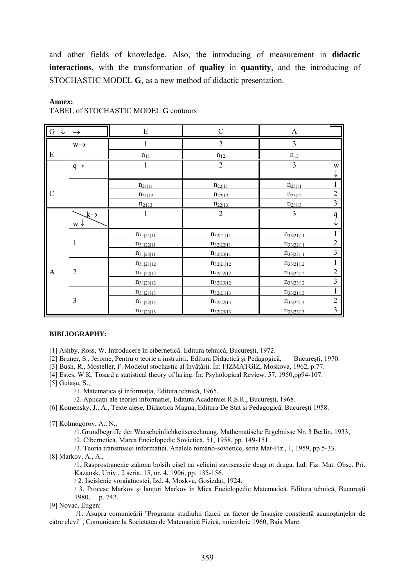and other fields of knowledge. Also, the introducing of measurement in **didactic interactions**, with the transformation of **quality** in **quantity**, and the introducing of STOCHASTIC MODEL **G**, as a new method of didactic presentation.

#### **Annex:**

### TABEL of STOCHASTIC MODEL **G** contours

| $G \downarrow$ | $\rightarrow$                              | E              | $\mathcal{C}$  | $\boldsymbol{\rm{A}}$ |                         |
|----------------|--------------------------------------------|----------------|----------------|-----------------------|-------------------------|
|                | $W \rightarrow$                            |                | $\overline{2}$ | $\overline{3}$        |                         |
| E              |                                            | $n_{11}$       | $\,n_{12}$     | $n_{13}$              |                         |
|                | $q \rightarrow$                            | 1              | $\overline{2}$ | 3                     | W<br>↓                  |
|                |                                            | $n_{21 11}$    | $n_{22 11}$    | $n_{23 11}$           | $\mathbf{1}$            |
| $\mathcal{C}$  |                                            | $n_{21 12}$    | $n_{22 12}$    | $n_{23 12}$           | $\overline{2}$          |
|                |                                            | $n_{2113}$     | $n_{22 13}$    | $n_{23 13}$           | $\mathfrak{Z}$          |
|                | $\downarrow \rightarrow$<br>$W \downarrow$ |                | $\overline{2}$ | $\overline{3}$        | $\mathbf q$<br>↓        |
|                |                                            | $n_{31 21 11}$ | $n_{32 21 11}$ | $n_{33 21 11}$        | $\mathbf{1}$            |
|                | $\mathbf{1}$                               | $n_{31 22 11}$ | $n_{32 22 11}$ | $n_{33 22 11}$        | $\overline{2}$          |
|                |                                            | $n_{31 23 11}$ | $n_{32 23 11}$ | $n_{33 23 11}$        | $\overline{\mathbf{3}}$ |
|                |                                            | $n_{31 21 12}$ | $n_{32 21 12}$ | $n_{33 21 12}$        | $\mathbf{1}$            |
| A              | $\overline{2}$                             | $n_{31 22 12}$ | $n_{32 22 12}$ | $n_{33 22 12}$        | $\overline{2}$          |
|                |                                            | $n_{31 23 12}$ | $n_{32 23 12}$ | $n_{33 23 12}$        | $\mathfrak{Z}$          |
|                |                                            | $n_{31 21 13}$ | $n_{32 21 13}$ | $n_{33 21 13}$        | 1                       |
|                | $\overline{3}$                             | $n_{31 22 13}$ | $n_{32 22 13}$ | $n_{33 22 13}$        | $\overline{2}$          |
|                |                                            | $n_{31 23 13}$ | $n_{32 23 13}$ | $n_{33 23 13}$        | $\overline{3}$          |

#### **BIBLIOGRAPHY:**

[1] Ashby, Ross, W. Introducere în cibernetică. Editura tehnică, Bucureşti, 1972.

[2] Bruner, S., Jerome, Pentru o teorie a instruirii, Editura Didactică şi Pedagogică, Bucureşti, 1970.

[3] Bush, R., Mosteller, F. Modelul stochastic al învăţării. În: FIZMATGIZ, Moskova, 1962, p.77.

[4] Estes, W.K. Tosard a statistical theory of laring. În: Psyhological Review. 57, 1950,pp94-107.

[5] Guiaşu, S.,

/1. Matematica și informația, Editura tehnică, 1965.

/2. Aplicaţii ale teoriei informaţiei, Editura Academiei R.S.R., Bucureşti, 1968.

[6] Komensky, J., A., Texte alese, Didactica Magna, Editura De Stat şi Pedagogică, Bucureşti 1958.

#### [7] Kolmogorov, A., N,.

/1.Grundbegriffe der Warscheinlichkeitserechnung, Mathematische Ergebnisse Nr. 3 Berlin, 1933,

/2. Cibernetică. Marea Enciclopedie Sovietică, 51, 1958, pp. 149-151.

/3. Teoria transmisiei informaţiei. Analele româno-sovietice, seria Mat-Fiz., 1, 1959, pp 5-33.

[8] Markov, A., A.,

/1. Rasprostranenie zakona bolsih cisel na velicini zaviseascie deug ot druga. Izd. Fiz. Mat. Obsc. Pri. Kazansk. Univ., 2 seria, 15, nr. 4, 1906, pp. 135-156.

/ 2. Iscislenie voraiatnostei, Izd. 4, Moskva, Gosizdat, 1924.

/ 3. Procese Markov şi lanţuri Markov în Mica Enciclopedie Matematică. Editura tehnică, Bucureşti 1980, p. 742.

[9] Novac, Eugen:

 /1. Asupra comunicării ''Programa studiului fizicii ca factor de însuşire conştientă acunoştinţelpr de către elevi'' , Comunicare la Societatea de Matematică Fizică, noiembrie 1960, Baia Mare.